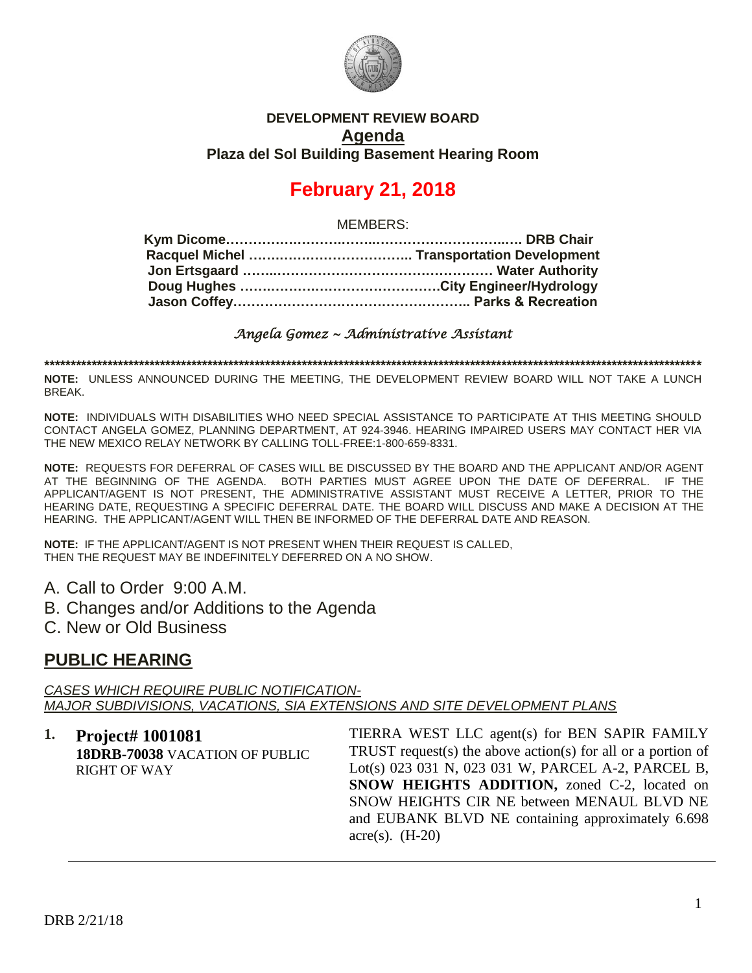

#### **DEVELOPMENT REVIEW BOARD Agenda Plaza del Sol Building Basement Hearing Room**

# **February 21, 2018**

MEMBERS:

*Angela Gomez ~ Administrative Assistant* 

**\*\*\*\*\*\*\*\*\*\*\*\*\*\*\*\*\*\*\*\*\*\*\*\*\*\*\*\*\*\*\*\*\*\*\*\*\*\*\*\*\*\*\*\*\*\*\*\*\*\*\*\*\*\*\*\*\*\*\*\*\*\*\*\*\*\*\*\*\*\*\*\*\*\*\*\*\*\*\*\*\*\*\*\*\*\*\*\*\*\*\*\*\*\*\*\*\*\*\*\*\*\*\*\*\*\*\*\*\*\*\*\*\*\*\*\*\*\*\*\*\*\*\*\*\***

**NOTE:** UNLESS ANNOUNCED DURING THE MEETING, THE DEVELOPMENT REVIEW BOARD WILL NOT TAKE A LUNCH BREAK.

**NOTE:** INDIVIDUALS WITH DISABILITIES WHO NEED SPECIAL ASSISTANCE TO PARTICIPATE AT THIS MEETING SHOULD CONTACT ANGELA GOMEZ, PLANNING DEPARTMENT, AT 924-3946. HEARING IMPAIRED USERS MAY CONTACT HER VIA THE NEW MEXICO RELAY NETWORK BY CALLING TOLL-FREE:1-800-659-8331.

**NOTE:** REQUESTS FOR DEFERRAL OF CASES WILL BE DISCUSSED BY THE BOARD AND THE APPLICANT AND/OR AGENT AT THE BEGINNING OF THE AGENDA. BOTH PARTIES MUST AGREE UPON THE DATE OF DEFERRAL. IF THE APPLICANT/AGENT IS NOT PRESENT, THE ADMINISTRATIVE ASSISTANT MUST RECEIVE A LETTER, PRIOR TO THE HEARING DATE, REQUESTING A SPECIFIC DEFERRAL DATE. THE BOARD WILL DISCUSS AND MAKE A DECISION AT THE HEARING. THE APPLICANT/AGENT WILL THEN BE INFORMED OF THE DEFERRAL DATE AND REASON.

**NOTE:** IF THE APPLICANT/AGENT IS NOT PRESENT WHEN THEIR REQUEST IS CALLED, THEN THE REQUEST MAY BE INDEFINITELY DEFERRED ON A NO SHOW.

- A. Call to Order 9:00 A.M.
- B. Changes and/or Additions to the Agenda
- C. New or Old Business

## **PUBLIC HEARING**

*CASES WHICH REQUIRE PUBLIC NOTIFICATION-MAJOR SUBDIVISIONS, VACATIONS, SIA EXTENSIONS AND SITE DEVELOPMENT PLANS*

**1. Project# 1001081 18DRB-70038** VACATION OF PUBLIC RIGHT OF WAY

TIERRA WEST LLC agent(s) for BEN SAPIR FAMILY TRUST request(s) the above action(s) for all or a portion of Lot(s) 023 031 N, 023 031 W, PARCEL A-2, PARCEL B, **SNOW HEIGHTS ADDITION,** zoned C-2, located on SNOW HEIGHTS CIR NE between MENAUL BLVD NE and EUBANK BLVD NE containing approximately 6.698 acre $(s)$ .  $(H-20)$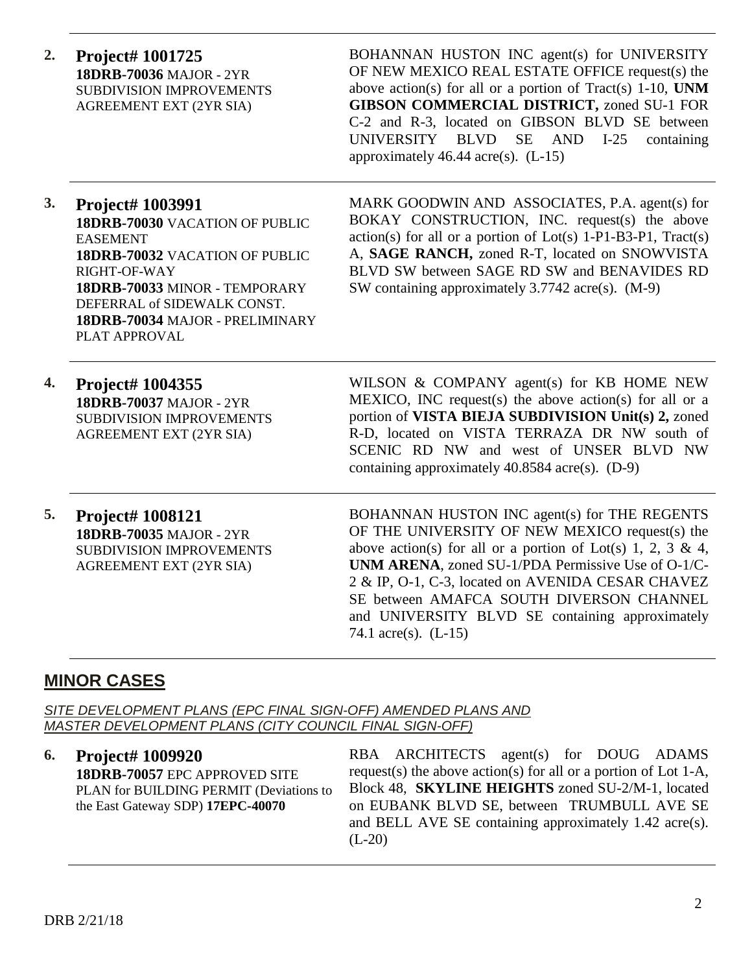**2. Project# 1001725 18DRB-70036** MAJOR - 2YR SUBDIVISION IMPROVEMENTS AGREEMENT EXT (2YR SIA)

BOHANNAN HUSTON INC agent(s) for UNIVERSITY OF NEW MEXICO REAL ESTATE OFFICE request(s) the above action(s) for all or a portion of Tract(s) 1-10, **UNM GIBSON COMMERCIAL DISTRICT,** zoned SU-1 FOR C-2 and R-3, located on GIBSON BLVD SE between UNIVERSITY BLVD SE AND I-25 containing approximately  $46.44$  acre(s). (L-15)

### **3. Project# 1003991**

**18DRB-70030** VACATION OF PUBLIC EASEMENT **18DRB-70032** VACATION OF PUBLIC RIGHT-OF-WAY **18DRB-70033** MINOR - TEMPORARY DEFERRAL of SIDEWALK CONST. **18DRB-70034** MAJOR - PRELIMINARY PLAT APPROVAL

MARK GOODWIN AND ASSOCIATES, P.A. agent(s) for BOKAY CONSTRUCTION, INC. request(s) the above  $action(s)$  for all or a portion of  $Lot(s)$  1-P1-B3-P1, Tract(s) A, **SAGE RANCH,** zoned R-T, located on SNOWVISTA BLVD SW between SAGE RD SW and BENAVIDES RD SW containing approximately 3.7742 acre(s). (M-9)

**4. Project# 1004355 18DRB-70037** MAJOR - 2YR SUBDIVISION IMPROVEMENTS AGREEMENT EXT (2YR SIA)

WILSON & COMPANY agent(s) for KB HOME NEW MEXICO, INC request(s) the above action(s) for all or a portion of **VISTA BIEJA SUBDIVISION Unit(s) 2,** zoned R-D, located on VISTA TERRAZA DR NW south of SCENIC RD NW and west of UNSER BLVD NW containing approximately 40.8584 acre(s). (D-9)

**5. Project# 1008121 18DRB-70035** MAJOR - 2YR SUBDIVISION IMPROVEMENTS AGREEMENT EXT (2YR SIA)

BOHANNAN HUSTON INC agent(s) for THE REGENTS OF THE UNIVERSITY OF NEW MEXICO request(s) the above action(s) for all or a portion of Lot(s) 1, 2, 3 & 4, **UNM ARENA**, zoned SU-1/PDA Permissive Use of O-1/C-2 & IP, O-1, C-3, located on AVENIDA CESAR CHAVEZ SE between AMAFCA SOUTH DIVERSON CHANNEL and UNIVERSITY BLVD SE containing approximately 74.1 acre(s). (L-15)

# **MINOR CASES**

*SITE DEVELOPMENT PLANS (EPC FINAL SIGN-OFF) AMENDED PLANS AND MASTER DEVELOPMENT PLANS (CITY COUNCIL FINAL SIGN-OFF)*

**6. Project# 1009920 18DRB-70057** EPC APPROVED SITE PLAN for BUILDING PERMIT (Deviations to the East Gateway SDP) **17EPC-40070**

RBA ARCHITECTS agent(s) for DOUG ADAMS request(s) the above action(s) for all or a portion of Lot 1-A, Block 48, **SKYLINE HEIGHTS** zoned SU-2/M-1, located on EUBANK BLVD SE, between TRUMBULL AVE SE and BELL AVE SE containing approximately 1.42 acre(s).  $(L-20)$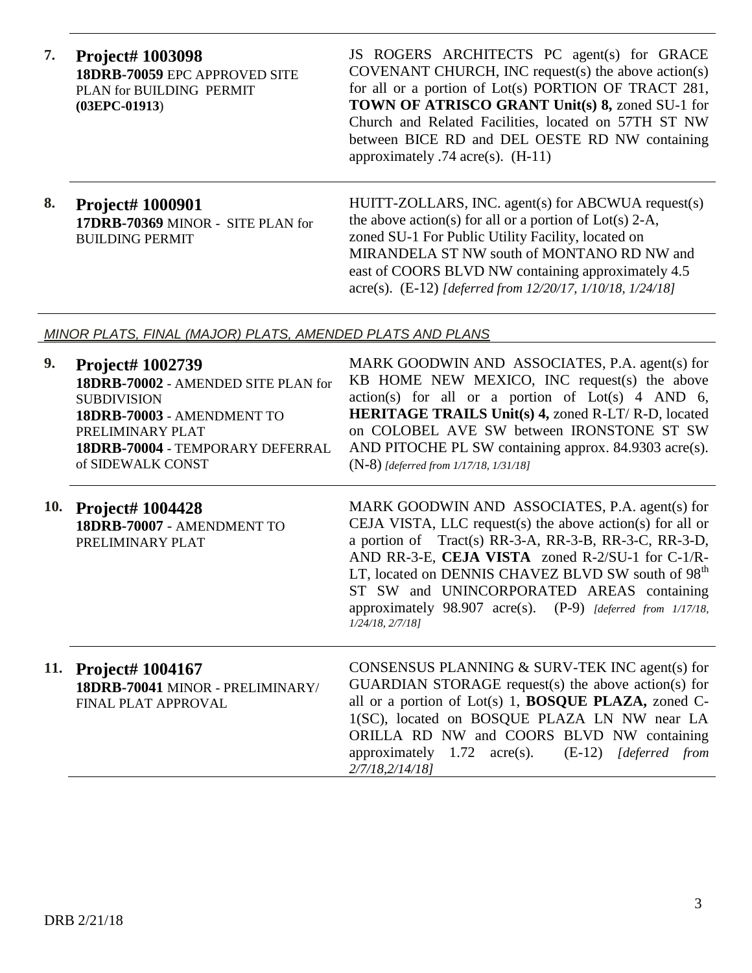**7. Project# 1003098 18DRB-70059** EPC APPROVED SITE PLAN for BUILDING PERMIT **(03EPC-01913**)

JS ROGERS ARCHITECTS PC agent(s) for GRACE COVENANT CHURCH, INC request(s) the above action(s) for all or a portion of Lot(s) PORTION OF TRACT 281, **TOWN OF ATRISCO GRANT Unit(s) 8,** zoned SU-1 for Church and Related Facilities, located on 57TH ST NW between BICE RD and DEL OESTE RD NW containing approximately .74 acre(s). (H-11)

### **8. Project# 1000901 17DRB-70369** MINOR - SITE PLAN for BUILDING PERMIT

HUITT-ZOLLARS, INC. agent(s) for ABCWUA request(s) the above action(s) for all or a portion of  $Lot(s)$  2-A, zoned SU-1 For Public Utility Facility, located on MIRANDELA ST NW south of MONTANO RD NW and east of COORS BLVD NW containing approximately 4.5 acre(s). (E-12) *[deferred from 12/20/17, 1/10/18, 1/24/18]*

#### *MINOR PLATS, FINAL (MAJOR) PLATS, AMENDED PLATS AND PLANS*

| 9. | <b>Project# 1002739</b><br>18DRB-70002 - AMENDED SITE PLAN for<br><b>SUBDIVISION</b><br>18DRB-70003 - AMENDMENT TO<br>PRELIMINARY PLAT<br>18DRB-70004 - TEMPORARY DEFERRAL<br>of SIDEWALK CONST | MARK GOODWIN AND ASSOCIATES, P.A. agent(s) for<br>KB HOME NEW MEXICO, INC request(s) the above<br>$action(s)$ for all or a portion of $Lot(s)$ 4 AND 6,<br><b>HERITAGE TRAILS Unit(s) 4, zoned R-LT/ R-D, located</b><br>on COLOBEL AVE SW between IRONSTONE ST SW<br>AND PITOCHE PL SW containing approx. 84.9303 acre(s).<br>$(N-8)$ [deferred from 1/17/18, 1/31/18]                                                              |
|----|-------------------------------------------------------------------------------------------------------------------------------------------------------------------------------------------------|--------------------------------------------------------------------------------------------------------------------------------------------------------------------------------------------------------------------------------------------------------------------------------------------------------------------------------------------------------------------------------------------------------------------------------------|
|    | 10. Project# 1004428<br>18DRB-70007 - AMENDMENT TO<br>PRELIMINARY PLAT                                                                                                                          | MARK GOODWIN AND ASSOCIATES, P.A. agent(s) for<br>CEJA VISTA, LLC request(s) the above action(s) for all or<br>a portion of Tract(s) RR-3-A, RR-3-B, RR-3-C, RR-3-D,<br>AND RR-3-E, CEJA VISTA zoned R-2/SU-1 for C-1/R-<br>LT, located on DENNIS CHAVEZ BLVD SW south of 98 <sup>th</sup><br>ST SW and UNINCORPORATED AREAS containing<br>approximately $98.907$ acre(s). $(P-9)$ [deferred from 1/17/18,<br>$1/24/18$ , $2/7/18$ ] |
|    | 11. Project# 1004167<br>18DRB-70041 MINOR - PRELIMINARY/<br>FINAL PLAT APPROVAL                                                                                                                 | CONSENSUS PLANNING & SURV-TEK INC agent(s) for<br>$GUARDIAN STORAGE request(s)$ the above action(s) for<br>all or a portion of Lot(s) 1, <b>BOSQUE PLAZA</b> , zoned C-<br>1(SC), located on BOSQUE PLAZA LN NW near LA<br>ORILLA RD NW and COORS BLVD NW containing<br>approximately $1.72$ acre(s).<br>$(E-12)$ [deferred from<br>2/7/18,2/14/18]                                                                                  |